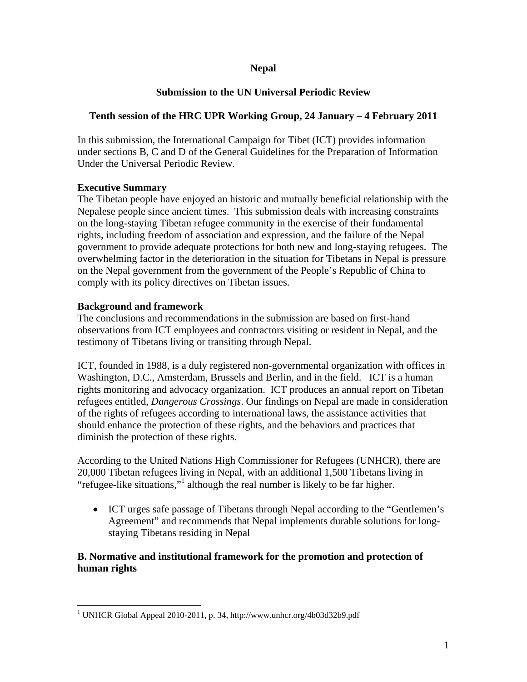## **Nepal**

# **Submission to the UN Universal Periodic Review**

# **Tenth session of the HRC UPR Working Group, 24 January – 4 February 2011**

In this submission, the International Campaign for Tibet (ICT) provides information under sections B, C and D of the General Guidelines for the Preparation of Information Under the Universal Periodic Review.

## **Executive Summary**

The Tibetan people have enjoyed an historic and mutually beneficial relationship with the Nepalese people since ancient times. This submission deals with increasing constraints on the long-staying Tibetan refugee community in the exercise of their fundamental rights, including freedom of association and expression, and the failure of the Nepal government to provide adequate protections for both new and long-staying refugees. The overwhelming factor in the deterioration in the situation for Tibetans in Nepal is pressure on the Nepal government from the government of the People's Republic of China to comply with its policy directives on Tibetan issues.

## **Background and framework**

 $\overline{a}$ 

The conclusions and recommendations in the submission are based on first-hand observations from ICT employees and contractors visiting or resident in Nepal, and the testimony of Tibetans living or transiting through Nepal.

ICT, founded in 1988, is a duly registered non-governmental organization with offices in Washington, D.C., Amsterdam, Brussels and Berlin, and in the field. ICT is a human rights monitoring and advocacy organization. ICT produces an annual report on Tibetan refugees entitled, *Dangerous Crossings*. Our findings on Nepal are made in consideration of the rights of refugees according to international laws, the assistance activities that should enhance the protection of these rights, and the behaviors and practices that diminish the protection of these rights.

According to the United Nations High Commissioner for Refugees (UNHCR), there are 20,000 Tibetan refugees living in Nepal, with an additional 1,500 Tibetans living in "refugee-like situations,"<sup>1</sup> although the real number is likely to be far higher.

• ICT urges safe passage of Tibetans through Nepal according to the "Gentlemen's Agreement" and recommends that Nepal implements durable solutions for longstaying Tibetans residing in Nepal

# **B. Normative and institutional framework for the promotion and protection of human rights**

<sup>&</sup>lt;sup>1</sup> UNHCR Global Appeal 2010-2011, p. 34, http://www.unhcr.org/4b03d32b9.pdf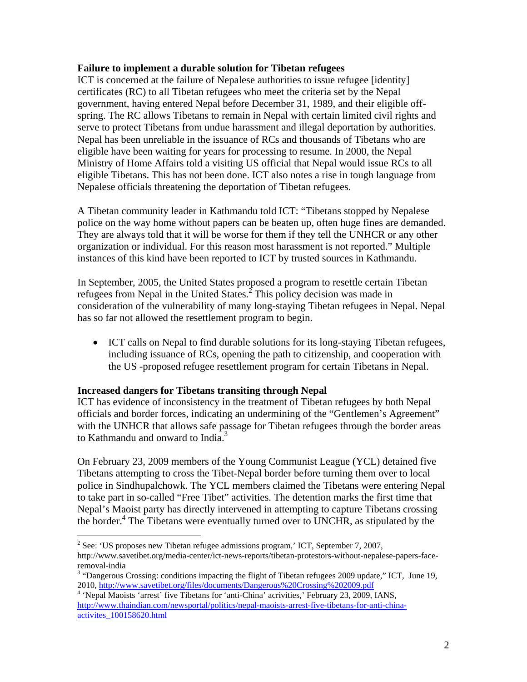#### **Failure to implement a durable solution for Tibetan refugees**

ICT is concerned at the failure of Nepalese authorities to issue refugee [identity] certificates (RC) to all Tibetan refugees who meet the criteria set by the Nepal government, having entered Nepal before December 31, 1989, and their eligible offspring. The RC allows Tibetans to remain in Nepal with certain limited civil rights and serve to protect Tibetans from undue harassment and illegal deportation by authorities. Nepal has been unreliable in the issuance of RCs and thousands of Tibetans who are eligible have been waiting for years for processing to resume. In 2000, the Nepal Ministry of Home Affairs told a visiting US official that Nepal would issue RCs to all eligible Tibetans. This has not been done. ICT also notes a rise in tough language from Nepalese officials threatening the deportation of Tibetan refugees.

A Tibetan community leader in Kathmandu told ICT: "Tibetans stopped by Nepalese police on the way home without papers can be beaten up, often huge fines are demanded. They are always told that it will be worse for them if they tell the UNHCR or any other organization or individual. For this reason most harassment is not reported." Multiple instances of this kind have been reported to ICT by trusted sources in Kathmandu.

In September, 2005, the United States proposed a program to resettle certain Tibetan refugees from Nepal in the United States.<sup>2</sup> This policy decision was made in consideration of the vulnerability of many long-staying Tibetan refugees in Nepal. Nepal has so far not allowed the resettlement program to begin.

• ICT calls on Nepal to find durable solutions for its long-staying Tibetan refugees, including issuance of RCs, opening the path to citizenship, and cooperation with the US -proposed refugee resettlement program for certain Tibetans in Nepal.

#### **Increased dangers for Tibetans transiting through Nepal**

 $\overline{a}$ 

ICT has evidence of inconsistency in the treatment of Tibetan refugees by both Nepal officials and border forces, indicating an undermining of the "Gentlemen's Agreement" with the UNHCR that allows safe passage for Tibetan refugees through the border areas to Kathmandu and onward to India.<sup>3</sup>

On February 23, 2009 members of the Young Communist League (YCL) detained five Tibetans attempting to cross the Tibet-Nepal border before turning them over to local police in Sindhupalchowk. The YCL members claimed the Tibetans were entering Nepal to take part in so-called "Free Tibet" activities. The detention marks the first time that Nepal's Maoist party has directly intervened in attempting to capture Tibetans crossing the border.<sup>4</sup> The Tibetans were eventually turned over to UNCHR, as stipulated by the

<sup>&</sup>lt;sup>2</sup> See: 'US proposes new Tibetan refugee admissions program,' ICT, September 7, 2007, http://www.savetibet.org/media-center/ict-news-reports/tibetan-protestors-without-nepalese-papers-faceremoval-india

<sup>&</sup>lt;sup>3</sup> "Dangerous Crossing: conditions impacting the flight of Tibetan refugees 2009 update," ICT, June 19, 2010, http://www.savetibet.org/files/documents/Dangerous%20Crossing%202009.pdf <sup>4</sup>

<sup>&</sup>lt;sup>4</sup> 'Nepal Maoists 'arrest' five Tibetans for 'anti-China' acrivities,' February 23, 2009, IANS, http://www.thaindian.com/newsportal/politics/nepal-maoists-arrest-five-tibetans-for-anti-chinaactivites\_100158620.html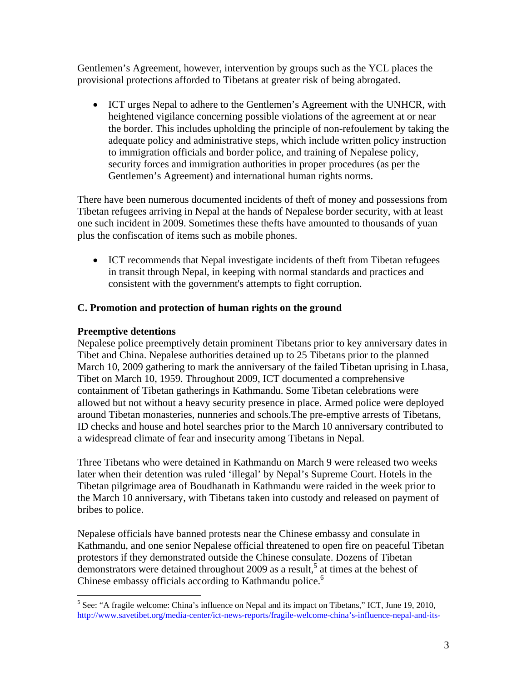Gentlemen's Agreement, however, intervention by groups such as the YCL places the provisional protections afforded to Tibetans at greater risk of being abrogated.

• ICT urges Nepal to adhere to the Gentlemen's Agreement with the UNHCR, with heightened vigilance concerning possible violations of the agreement at or near the border. This includes upholding the principle of non-refoulement by taking the adequate policy and administrative steps, which include written policy instruction to immigration officials and border police, and training of Nepalese policy, security forces and immigration authorities in proper procedures (as per the Gentlemen's Agreement) and international human rights norms.

There have been numerous documented incidents of theft of money and possessions from Tibetan refugees arriving in Nepal at the hands of Nepalese border security, with at least one such incident in 2009. Sometimes these thefts have amounted to thousands of yuan plus the confiscation of items such as mobile phones.

• ICT recommends that Nepal investigate incidents of theft from Tibetan refugees in transit through Nepal, in keeping with normal standards and practices and consistent with the government's attempts to fight corruption.

## **C. Promotion and protection of human rights on the ground**

## **Preemptive detentions**

 $\overline{a}$ 

Nepalese police preemptively detain prominent Tibetans prior to key anniversary dates in Tibet and China. Nepalese authorities detained up to 25 Tibetans prior to the planned March 10, 2009 gathering to mark the anniversary of the failed Tibetan uprising in Lhasa, Tibet on March 10, 1959. Throughout 2009, ICT documented a comprehensive containment of Tibetan gatherings in Kathmandu. Some Tibetan celebrations were allowed but not without a heavy security presence in place. Armed police were deployed around Tibetan monasteries, nunneries and schools.The pre-emptive arrests of Tibetans, ID checks and house and hotel searches prior to the March 10 anniversary contributed to a widespread climate of fear and insecurity among Tibetans in Nepal.

Three Tibetans who were detained in Kathmandu on March 9 were released two weeks later when their detention was ruled 'illegal' by Nepal's Supreme Court. Hotels in the Tibetan pilgrimage area of Boudhanath in Kathmandu were raided in the week prior to the March 10 anniversary, with Tibetans taken into custody and released on payment of bribes to police.

Nepalese officials have banned protests near the Chinese embassy and consulate in Kathmandu, and one senior Nepalese official threatened to open fire on peaceful Tibetan protestors if they demonstrated outside the Chinese consulate. Dozens of Tibetan demonstrators were detained throughout 2009 as a result,<sup>5</sup> at times at the behest of Chinese embassy officials according to Kathmandu police.<sup>6</sup>

<sup>&</sup>lt;sup>5</sup> See: "A fragile welcome: China's influence on Nepal and its impact on Tibetans," ICT, June 19, 2010, http://www.savetibet.org/media-center/ict-news-reports/fragile-welcome-china's-influence-nepal-and-its-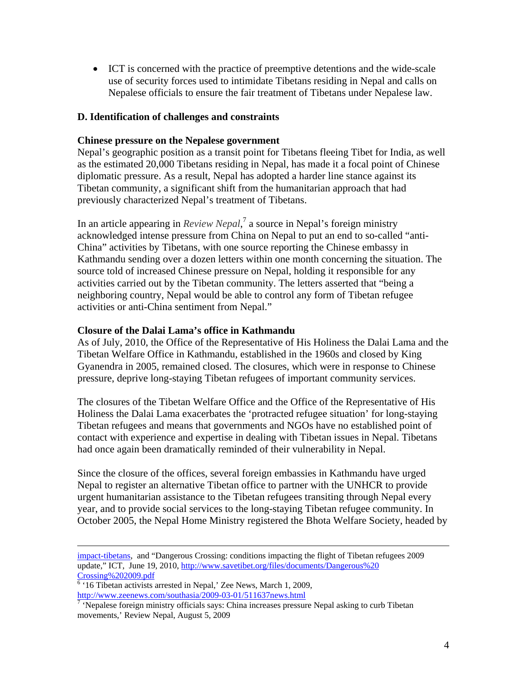• ICT is concerned with the practice of preemptive detentions and the wide-scale use of security forces used to intimidate Tibetans residing in Nepal and calls on Nepalese officials to ensure the fair treatment of Tibetans under Nepalese law.

### **D. Identification of challenges and constraints**

#### **Chinese pressure on the Nepalese government**

Nepal's geographic position as a transit point for Tibetans fleeing Tibet for India, as well as the estimated 20,000 Tibetans residing in Nepal, has made it a focal point of Chinese diplomatic pressure. As a result, Nepal has adopted a harder line stance against its Tibetan community, a significant shift from the humanitarian approach that had previously characterized Nepal's treatment of Tibetans.

In an article appearing in *Review Nepal*, <sup>7</sup> a source in Nepal's foreign ministry acknowledged intense pressure from China on Nepal to put an end to so-called "anti-China" activities by Tibetans, with one source reporting the Chinese embassy in Kathmandu sending over a dozen letters within one month concerning the situation. The source told of increased Chinese pressure on Nepal, holding it responsible for any activities carried out by the Tibetan community. The letters asserted that "being a neighboring country, Nepal would be able to control any form of Tibetan refugee activities or anti-China sentiment from Nepal."

### **Closure of the Dalai Lama's office in Kathmandu**

As of July, 2010, the Office of the Representative of His Holiness the Dalai Lama and the Tibetan Welfare Office in Kathmandu, established in the 1960s and closed by King Gyanendra in 2005, remained closed. The closures, which were in response to Chinese pressure, deprive long-staying Tibetan refugees of important community services.

The closures of the Tibetan Welfare Office and the Office of the Representative of His Holiness the Dalai Lama exacerbates the 'protracted refugee situation' for long-staying Tibetan refugees and means that governments and NGOs have no established point of contact with experience and expertise in dealing with Tibetan issues in Nepal. Tibetans had once again been dramatically reminded of their vulnerability in Nepal.

Since the closure of the offices, several foreign embassies in Kathmandu have urged Nepal to register an alternative Tibetan office to partner with the UNHCR to provide urgent humanitarian assistance to the Tibetan refugees transiting through Nepal every year, and to provide social services to the long-staying Tibetan refugee community. In October 2005, the Nepal Home Ministry registered the Bhota Welfare Society, headed by

impact-tibetans, and "Dangerous Crossing: conditions impacting the flight of Tibetan refugees 2009 update," ICT, June 19, 2010, http://www.savetibet.org/files/documents/Dangerous%20

Crossing%202009.pdf<br><sup>6</sup> '16 Tibetan activists arrested in Nepal,' Zee News, March 1, 2009, http://www.zeenews.com/southasia/2009-03-01/511637news.html

<sup>&</sup>lt;sup>7</sup> 'Nepalese foreign ministry officials says: China increases pressure Nepal asking to curb Tibetan movements,' Review Nepal, August 5, 2009